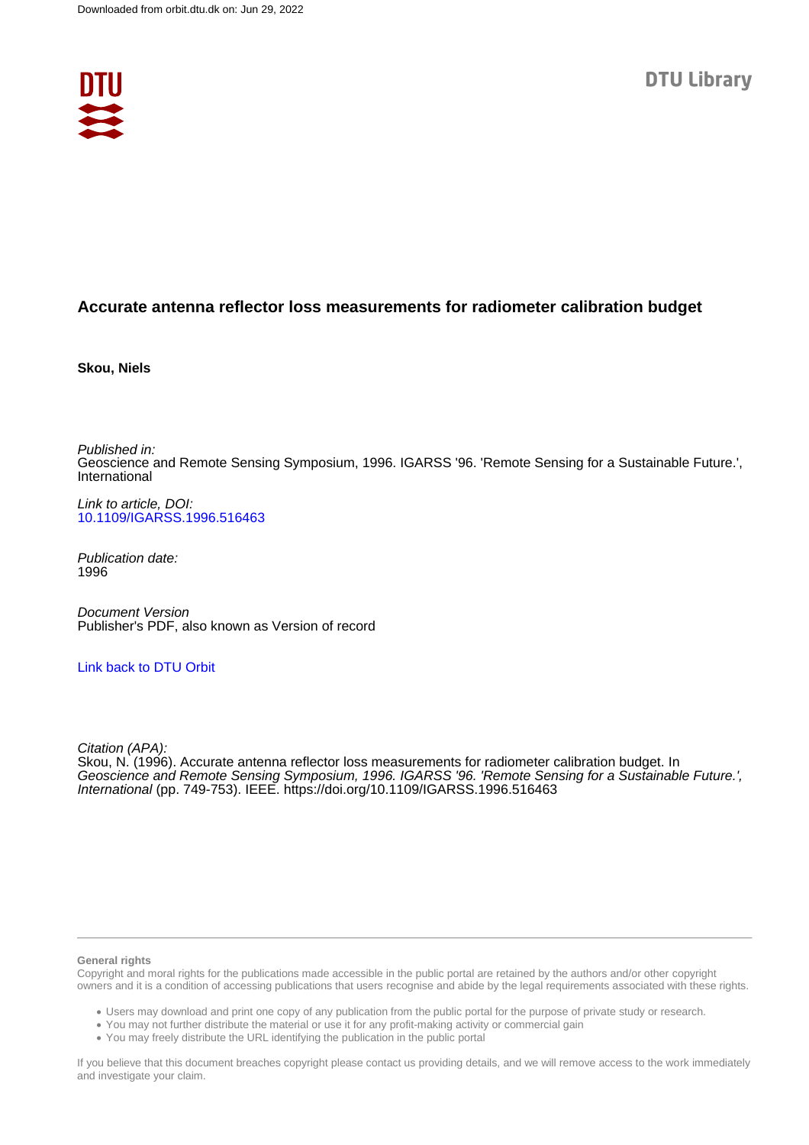

# **Accurate antenna reflector loss measurements for radiometer calibration budget**

**Skou, Niels**

Published in: Geoscience and Remote Sensing Symposium, 1996. IGARSS '96. 'Remote Sensing for a Sustainable Future.', International

Link to article, DOI: [10.1109/IGARSS.1996.516463](https://doi.org/10.1109/IGARSS.1996.516463)

Publication date: 1996

Document Version Publisher's PDF, also known as Version of record

## [Link back to DTU Orbit](https://orbit.dtu.dk/en/publications/95e23be1-b127-41b7-8fa9-370fa38daff8)

Citation (APA):

Skou, N. (1996). Accurate antenna reflector loss measurements for radiometer calibration budget. In Geoscience and Remote Sensing Symposium, 1996. IGARSS '96. 'Remote Sensing for a Sustainable Future.', International (pp. 749-753). IEEE. <https://doi.org/10.1109/IGARSS.1996.516463>

#### **General rights**

Copyright and moral rights for the publications made accessible in the public portal are retained by the authors and/or other copyright owners and it is a condition of accessing publications that users recognise and abide by the legal requirements associated with these rights.

Users may download and print one copy of any publication from the public portal for the purpose of private study or research.

- You may not further distribute the material or use it for any profit-making activity or commercial gain
- You may freely distribute the URL identifying the publication in the public portal

If you believe that this document breaches copyright please contact us providing details, and we will remove access to the work immediately and investigate your claim.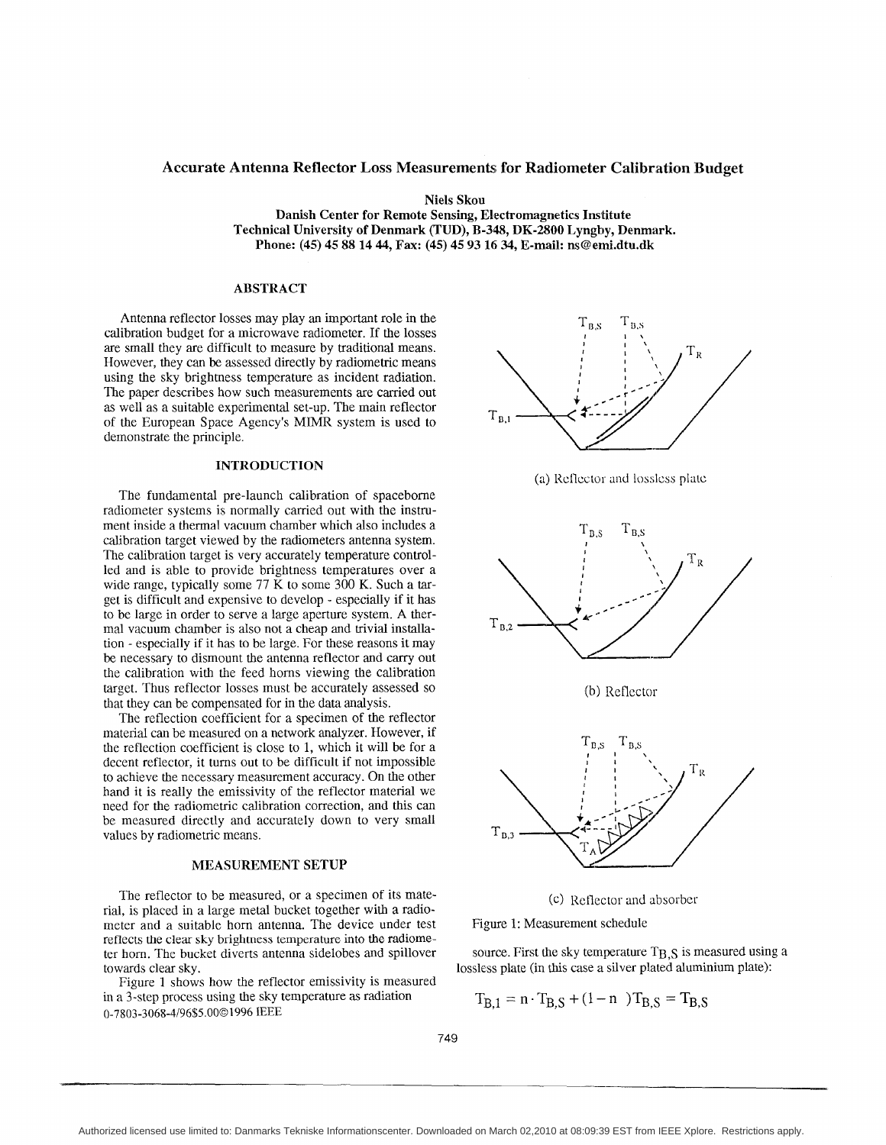## **Accurate Antenna Reflector Loss Measurements for Radiometer Calibration Budget**

**Niels Skou** 

**Danish Center for Remote Sensing, Electromagnetics Institute Technical University of Denmark (TUD), B-348, DK-2800 Lyngby, Denmark. Phone: (45) 45 88 14 44, Fax: (45) 45 93 16 34, E-mail: ns@etni.dtu.dk** 

## **ABSTRACT**

Antenna reflector losses may play an important role in the calibration budget for a microwave radiometer. If the losses are small they are difficult to measure by traditional means. However, they can be assessed directly by radiometric means using the sky brightness temperature as incident radiation. The paper describes how such measurements are carried out as well as a suitable experimental set-up. The main reflector of the European Space Agency's MIMR system is used to demonstrate the principle.

## **INTRODUCTION**

The fundamental pre-launch calibration of spacebome radiometer systems is normally carried out with the instrument inside a thermal vacuum chamber which also includes a calibration target viewed by the radiometers antenna system. The calibration target is very accurately temperature controlled and is able to provide brightness temperatures over a wide range, typically some 77 K to some 300 K. Such a **tar**get is difficult and expensive to develop - especially if it has to be large in order to serve a large aperture system. **A** thermal vacuum chamber is also not a cheap and trivial installation - especially if it has to be large. For these reasons it may be necessary to dismount the antenna reflector and carry out the calibration with the feed horns viewing the calibration target. Thus reflector losses must be accurately assessed so tbat they can be compensated for in the data analysis.

The reflection coefficient for a specimen of the reflector material can be measured on a network analyzer. However, if the reflection coefficient is close to 1, which it will be for a decent reflector, it tums out to be difficult if not impossible to achieve the necessary measurement accuracy. On the other hand it is really the emissivity of the reflector material we need for the radiometric calibration correction, and this can be measured directly and accurately down to very small values by radiometric means.

## **MEASUREMENT SETUP**

The reflector to be measured, or a specimen of its material, is placed in a large metal bucket together with a radiometer and a suitable horn antenna. The device under test reflects the clear sky brightness temperature into the radiometer hom. The bucket diverts antenna sidelobes and spillover towards clear sky.

Figure 1 shows how the reflector emissivity is measured in a 3-step process using the sky temperature **as** radiation 0-7803-3068-4/96\$5.000 1996 IEEE



(a) Reflector and lossless plate



(c) Reflector and absorber

Figure **1:** Measurement schedule

source. First the sky temperature  $T_{B,S}$  is measured using a lossless plate (in this case a silver plated aluminium plate):

$$
T_{B,1} = n \cdot T_{B,S} + (1 - n) T_{B,S} = T_{B,S}
$$

749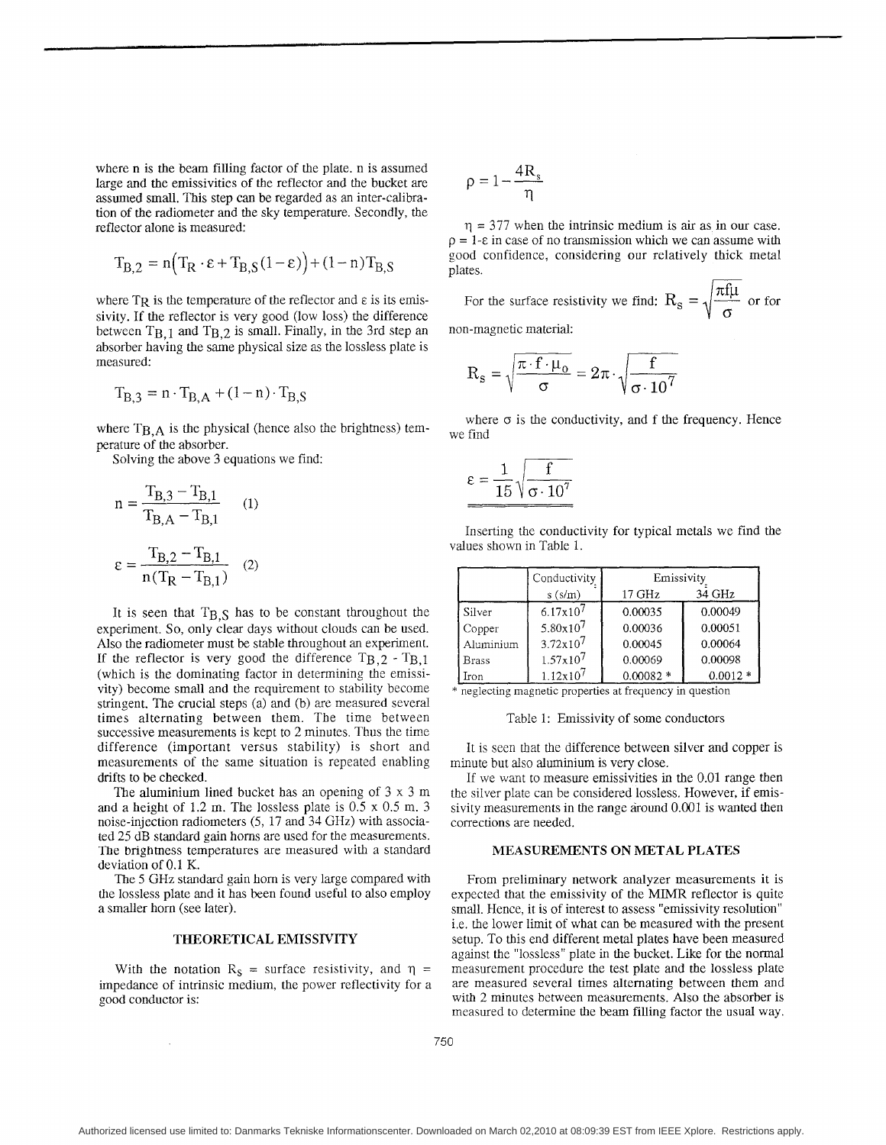where n is the beam filling factor of the plate. n is assumed large and the emissivities of the reflector and the bucket are assumed small. This step can be regarded as an inter-calibration of the radiometer and the sky temperature. Secondly, the reflector alone is measured:

$$
T_{B,2} = n \Big( T_R \cdot \varepsilon + T_{B,S} (1 - \varepsilon) \Big) + (1 - n) T_{B,S}
$$

where  $T_R$  is the temperature of the reflector and  $\varepsilon$  is its emissivity. If the reflector is very good (low loss) the difference between  $T_{B,1}$  and  $T_{B,2}$  is small. Finally, in the 3rd step an absorber having the same physical size as the lossless plate is measured:

$$
T_{B,3} = n \cdot T_{B,A} + (1 - n) \cdot T_{B,S}
$$

where  $T_{B,A}$  is the physical (hence also the brightness) temperature of the absorber.

Solving the above *3* equations we find:

$$
n = \frac{T_{B,3} - T_{B,1}}{T_{B,A} - T_{B,1}} \qquad (1)
$$

$$
\varepsilon = \frac{T_{B,2} - T_{B,1}}{n(T_{R} - T_{B,1})} \qquad (2)
$$

It is seen that  $T_{B,S}$  has to be constant throughout the experiment. So, only clear days without clouds can be used. Also the radiometer must be stable throughout an experiment. If the reflector is very good the difference  $T_{B,2} - T_{B,1}$ (which is the dominating factor in determining the emissivity) become small and the requirement to stability become stringent. The crucial steps (a) and (b) are measured several times alternating between them. The time between successive measurements is kept to 2 minutes. Thus the time difference (important versus stability) is short and measurements of the same situation is repeated enabling drifts to be checked.

The aluminium lined bucket has an opening of 3 **x** 3 m and a height of 1.2 m. The lossless plate is 0.5 x 0.5 m. 3 noise-injection radiometers *(5,* 17 and 34 GHz) with associated 25 dB standard gain horns are used for the measurements. The brightness temperatures are measured with a standard deviation of 0.1 K.

The *5* GHz standard gain hom is very large compared with the lossless plate and it has been found useful to also employ a smaller horn (see later).

#### **THEORETICAL EMISSIVITY**

With the notation  $R_s$  = surface resistivity, and  $\eta$  = impedance of intrinsic medium, the power reflectivity for a good conductor is:

$$
\rho=1\!-\!\frac{4R_s}{\eta}
$$

 $\eta = 377$  when the intrinsic medium is air as in our case.  $p = 1$ - $\varepsilon$  in case of no transmission which we can assume with good confidence, considering our relatively thick metal  $\eta = 377$  when the intrinsic medium is air as in our case<br>  $\rho = 1$ - $\varepsilon$  in case of no transmission which we can assume with<br>
good confidence, considering our relatively thick meta<br>
plates.<br>
For the surface resistivity we

For the surface resistivity we find:  $R_s = \sqrt{\frac{\pi f \mu}{\sigma}}$  or for

non-magnetic material:

$$
R_s = \sqrt{\frac{\pi \cdot f \cdot \mu_o}{\sigma}} = 2\pi \cdot \sqrt{\frac{f}{\sigma \cdot 10^7}}
$$

where  $\sigma$  is the conductivity, and f the frequency. Hence we find

$$
\varepsilon = \frac{1}{15} \sqrt{\frac{f}{\sigma \cdot 10^7}}
$$

Inserting the conductivity for typical metals we find the values shown in Table 1.

|              | Conductivity         | Emissivity        |           |
|--------------|----------------------|-------------------|-----------|
|              | $s$ ( $s/m$ )        | $17 \mathrm{GHz}$ | 34 GHz    |
| Silver       | 6.17x10 <sup>7</sup> | 0.00035           | 0.00049   |
| Copper       | $5.80 \times 10^7$   | 0.00036           | 0.00051   |
| Aluminium    | $3.72 \times 10^7$   | 0.00045           | 0.00064   |
| <b>Brass</b> | 1.57x107             | 0.00069           | 0.00098   |
| lron         | $1.12 \times 10^7$   | $0.00082*$        | $0.0012*$ |

neglecting magnetic properties at frequency in question

Table 1: Emissivity of some conductors

It is seen that the difference between silver and copper is minute but also aluminium is very close.

If we want to measure emissivities in the 0.01 range then the silver plate can be considered lossless. However, if emissivity measurements in the range around  $0.001$  is wanted then corrections are needed.

## **MEASUREMENTS ON METAL PLATES**

From preliminary network analyzer measurements it is expected that the emissivity of the MIMR reflector is quite small. Hence, it is of interest to assess "emissivity resolution" i.e. the lower limit of what can be measured with the present setup. To this end different metal plates have been measured against the "lossless" plate in the bucket. Like for the normal measurement procedure the test plate and the lossless plate are measured several times alternating between them and with 2 minutes between measurements. Also the absorber is measured to determine the beam filling factor the usual way.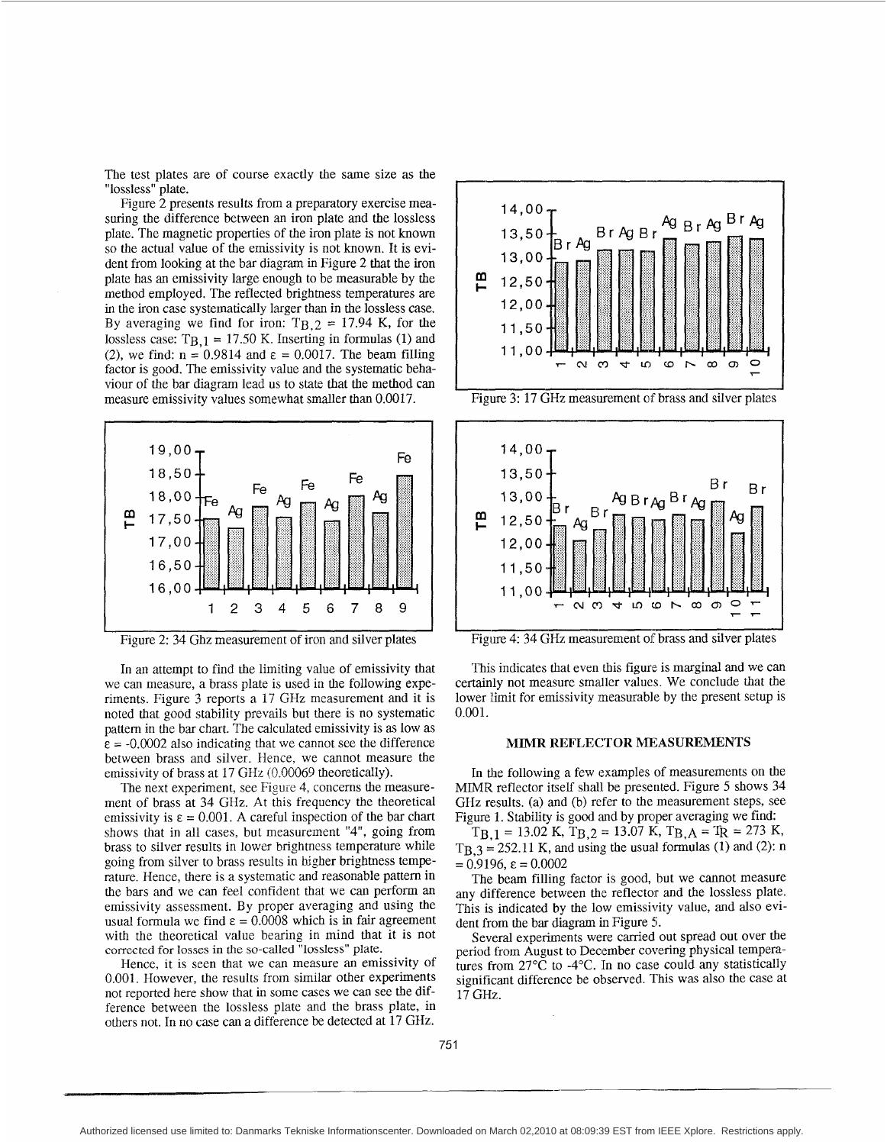The test plates are of course exactly the same size as the "lossless" plate.

Figure 2 presents results from a preparatory exercise measuring the difference between an iron plate and the lossless plate. The magnetic properties of the iron plate is not known so the actual value of the emissivity is not known. It is evident from looking at the bar diagram in Figure 2 that the iron plate has an emissivity large enough to be measurable by the method employed. The reflected brightness temperatures are in the iron case systematically larger than in the lossless case. By averaging we find for iron:  $T_{B,2} = 17.94$  K, for the lossless case:  $T_{B,1} = 17.50$  K. Inserting in formulas (1) and (2), we find:  $n = 0.9814$  and  $\varepsilon = 0.0017$ . The beam filling factor is good. The emissivity value and the systematic behaviour of the bar diagram lead us to state that the method can measure emissivity values somewhat smaller than 0.0017.



Figure 2: 34 Ghz measurement of iron and silver plates

In an attempt to find the limiting value of emissivity that we can measure, a brass plate is used in the following experiments. Figure 3 reports a 17 GHz measurement and it is noted that good stability prevails but there is no systematic pattem in the bar chart. The calculated emissivity is as low as  $\epsilon$  = -0.0002 also indicating that we cannot see the difference between brass and silver. Hence, we cannot measure the emissivity of brass at 17 GHz (0.00069 theoretically).

The next experiment, see Figure 4, concerns the measurement of brass at 34 GHz. At this frequency the theoretical emissivity is  $\varepsilon = 0.001$ . A careful inspection of the bar chart shows that in all cases, but measurement "4", going from brass to silver results in lower brightness temperature while going from silver to brass results in bigher brighmess temperature. Hence, there is a systematic and reasonable pattem in the bars and we can feel confident that we can perform an emissivity assessment. By proper averaging and using the usual formula we find  $\varepsilon = 0.0008$  which is in fair agreement with the theoretical value bearing in mind that it is not corrected for **losses** in the so-called "lossless" plate.

Hence, it is seen that we can measure an emissivity of 0.001. However, the results from similar other experiments not reported here show that in some cases we can see the difference between the lossless plate and the brass plate, in others not. In no case can a difference be detected at 17 GHz.



Figure 3: 17 GHz measurement of brass and silver plates



Figure 4: 34 GHz measurement of brass and silver plates

This indicates that even this figure is marginal and we can certainly not measure smadler values. We conclude that the lower limit for emissivity measurable by the present setup is 0.001.

#### **MIMR REFLECTOR MEASUREMENTS**

In the following a few examples of measurements on the MIMR reflector itself shall be presented. Figure *5* shows 34 GHz results. (a) and (b) refer to the measurement steps, see Figure 1. Stability is good and by proper averaging we find:

 $T_{B,1} = 13.02 \text{ K}, T_{B,2} = 13.07 \text{ K}, T_{B,A} = T_{R} = 273 \text{ K},$  $T_{B,3} = 252.11$  K, and using the usual formulas (1) and (2): n  $= 0.9196$ ,  $\varepsilon = 0.0002$ 

The beam filling factor is good, but we cannot measure any difference between the reflector and the lossless plate. This is indicated by the low emissivity value, and also evident from the bar diagram in Figure *5.* 

Several experiments were carried out spread out over the period from August to December covering physical temperatures from  $27^{\circ}$ C to -4 $^{\circ}$ C. In no case could any statistically significant difference be observed. This was also the case at 17 GHz.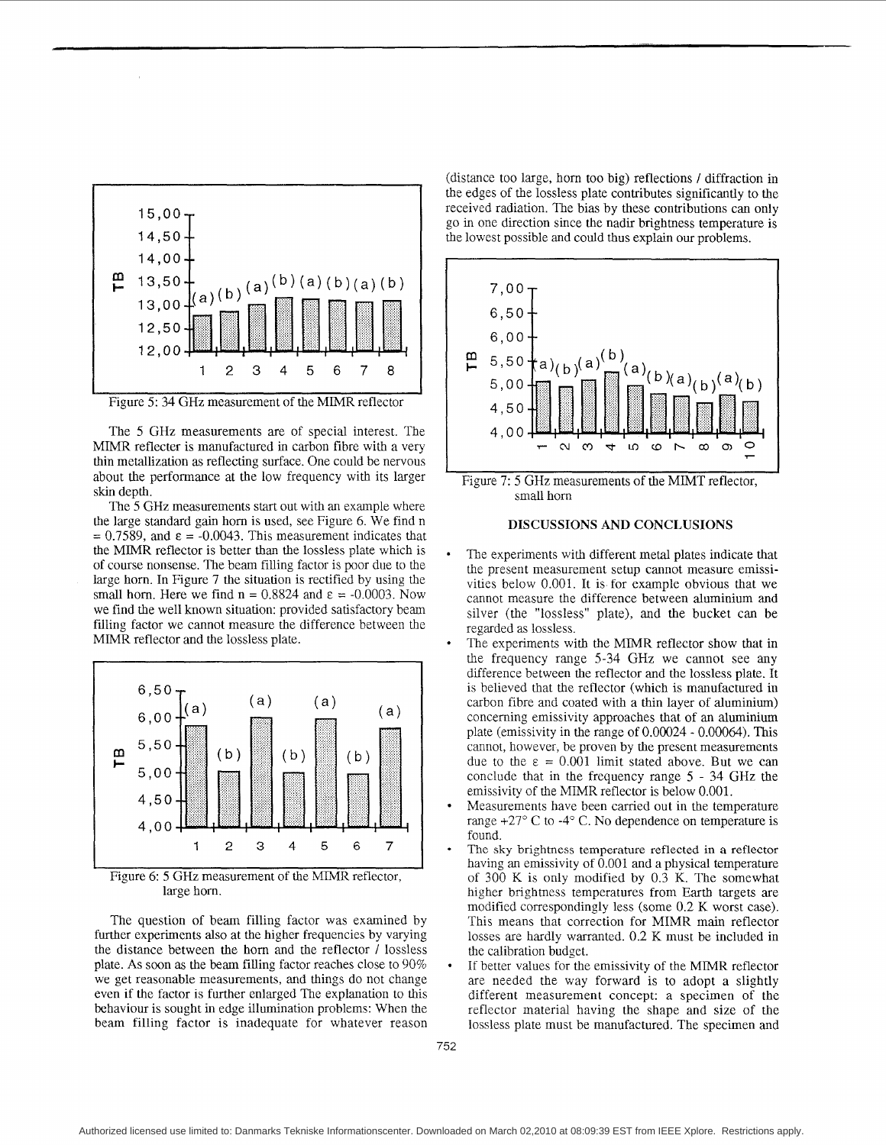



The *5* GHz measurements are of special interest. The MIMR reflecter is manufactured in carbon fibre with a very thin metallization **as** reflecting surface. One could be nervous about the performance at the low frequency with its larger skin depth.

The *5* GHz measurements start out with an example where the large standard gain horn is used, see Figure 6. We find n  $= 0.7589$ , and  $\varepsilon = -0.0043$ . This measurement indicates that the MIMR reflector is better than the lossless plate which is of course nonsense. The beam filling factor is poor due to the large hom. In Figure 7 the situation is rectified by using the small horn. Here we find  $n = 0.8824$  and  $\varepsilon = -0.0003$ . Now we find the well known situation: provided satisfactory beam filing factor we cannot measure the difference between the MIMR reflector and the lossless plate.



Figure 6: *5* GHz measurement of the MIMR reflector, large horn.

The question of beam filling factor was examined by further experiments also at the higher frequencies by varying the distance between the horn and the reflector / lossless plate. **As** soon **as** the beam filling factor reaches close to 90% we get reasonable measurements, and things do not change even if the factor is further enlarged The explanation to this behaviour is sought in edge illumination problems: When the beam filling factor is inadequate for whatever reason

(distance too large, hom too big) reflections / diffraction in the edges of the lossless plate contributes significantly to the received radiation. The bias by these contributions can only go in one direction since the nadir brighmess temperature is the lowest possible and could thus explain our problems.



Figure 7: 5 GHz measurements of the MIMT reflector, small hom

## **DISCUSSIONS** AND **CONCLUSIONS**

- The experiments with different metal plates indicate that the present measurement setup cannot measure emissivities below 0.001. It is for example obvious that we cannot measure the difference between aluminium and silver (the "lossless" plate), and the bucket can be regarded as lossless.
- The experiments with the MIMR reflector show that in the frequency range 5-34 GHz we cannot see any difference between the reflector and the lossless plate. It is believed that the reflector (which is manufactured in carbon fibre and coated with a thin layer of aluminium) concerning emissivity approaches that of an aluminium plate (emissivity in the range of  $0.00024 - 0.00064$ ). This cannot, however, be proven by the present measurements due to the  $\varepsilon = 0.001$  limit stated above. But we can conclude that in the frequency range *5* - **34** GHz the emissivity of the MIMR reflector is below 0.001.
- Measurements have been carried out in the temperature range  $+27^{\circ}$  C to  $-4^{\circ}$  C. No dependence on temperature is found.
- The sky brightness temperature reflected in **a** reflector having an emissivity of 0.001 and a physical temperature of 300 K is only modified by 0.3 K. The somewhat higher brighmess temperatures from Earth targets are modified correspondingly less (some 0.2 K worst case). This means that correction for MIMR main reflector losses are hardly warranted. 0.2 K must be included in the calibration budget.
- If better values for the emissivity of the MlMR reflector are needed the way forward is to adopt a slightly different measurement concept: a specimen of the reflector material having the shape and size of the lossless plate must be manufactured. The specimen and